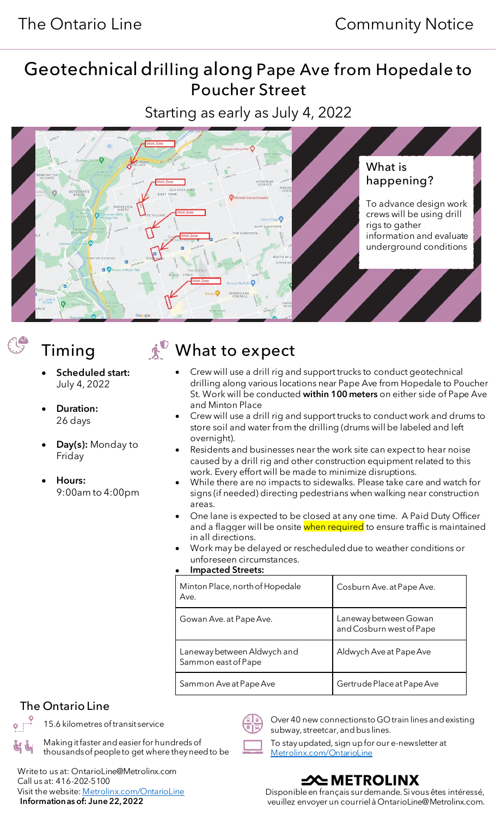# Geotechnical drilling along Pape Ave from Hopedale to Poucher Street

Starting as early as July 4, 2022



- Scheduled start: July 4, 2022
- Duration: 26 days
- Day(s): Monday to Friday
- Hours: 9:00am to 4:00pm

Timing  $\mathbf{A}^{\mathbb{O}}$  What to expect

- Crew will use a drill rig and support trucks to conduct geotechnical drilling along various locations near Pape Ave from Hopedale to Poucher St. Work will be conducted within 100 meters on either side of Pape Ave and Minton Place
- Crew will use a drill rig and support trucks to conduct work and drums to store soil and water from the drilling (drums will be labeled and left overnight).
- Residents and businesses near the work site can expect to hear noise caused by a drill rig and other construction equipment related to this work. Every effort will be made to minimize disruptions.
- While there are no impacts to sidewalks. Please take care and watch for signs (if needed) directing pedestrians when walking near construction areas.
- One lane is expected to be closed at any one time. A Paid Duty Officer and a flagger will be onsite when required to ensure traffic is maintained in all directions.
- Work may be delayed or rescheduled due to weather conditions or unforeseen circumstances.

#### • Impacted Streets:

| Minton Place, north of Hopedale<br>Ave.            | Cosburn Ave. at Pape Ave.                         |
|----------------------------------------------------|---------------------------------------------------|
| Gowan Ave. at Pape Ave.                            | Laneway between Gowan<br>and Cosburn west of Pape |
| Laneway between Aldwych and<br>Sammon east of Pape | Aldwych Ave at Pape Ave                           |
| Sammon Ave at Pape Ave                             | Gertrude Place at Pape Ave                        |

## The Ontario Line



 Write to us at: OntarioLine@Metrolinx.com Call us at: 416-202-5100 Visit the website[: Metrolinx.com/OntarioLine](http://metrolinx.com/ontarioline) Information as of: June 22,2022



15.6 kilometres of transit service  $\left(\begin{matrix} 1 & 0 \ \end{matrix}\right)$  Over 40 new connections to GO train lines and existing subway, streetcar, and bus lines.

> To stay updated, sign up for our e-newsletter at [Metrolinx.com/OntarioLine](http://metrolinx.com/ontarioline)

## –XNETROLINX

Disponible en français sur demande. Si vous êtes intéressé, veuillez envoyer un courriel à OntarioLine@Metrolinx.com.